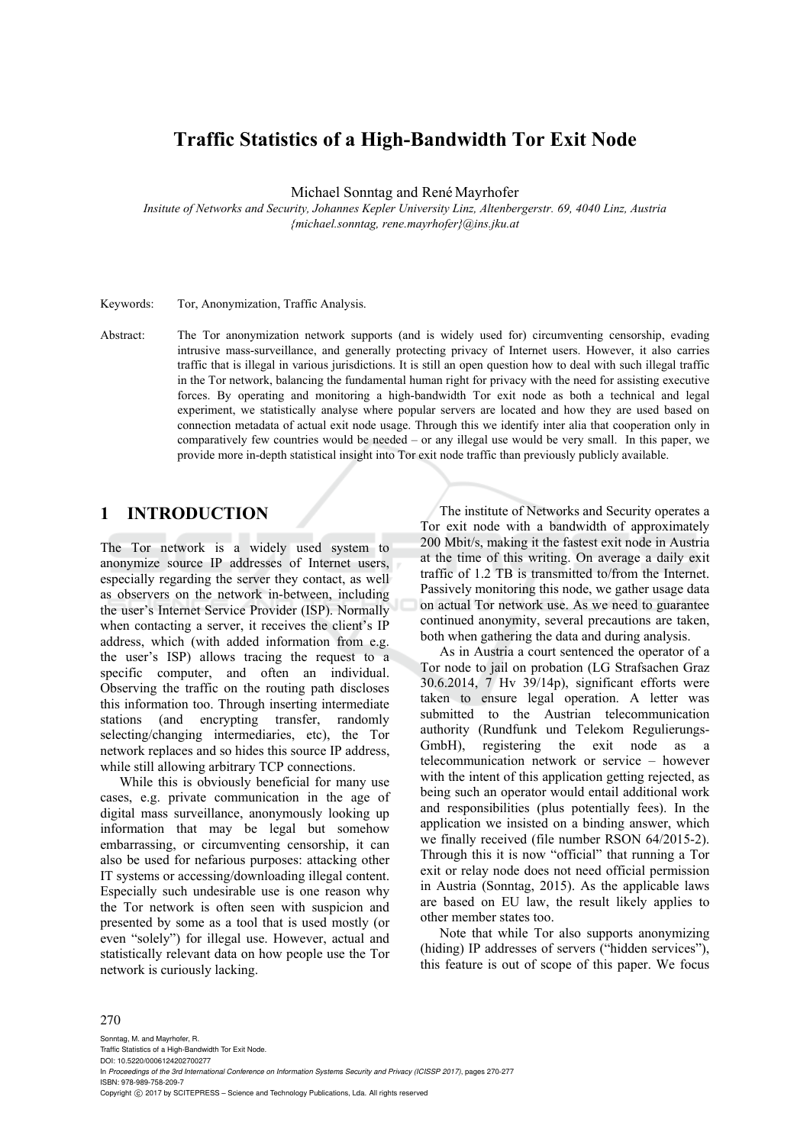# **Traffic Statistics of a High-Bandwidth Tor Exit Node**

Michael Sonntag and René Mayrhofer

*Insitute of Networks and Security, Johannes Kepler University Linz, Altenbergerstr. 69, 4040 Linz, Austria {michael.sonntag, rene.mayrhofer}@ins.jku.at* 

Keywords: Tor, Anonymization, Traffic Analysis.

Abstract: The Tor anonymization network supports (and is widely used for) circumventing censorship, evading intrusive mass-surveillance, and generally protecting privacy of Internet users. However, it also carries traffic that is illegal in various jurisdictions. It is still an open question how to deal with such illegal traffic in the Tor network, balancing the fundamental human right for privacy with the need for assisting executive forces. By operating and monitoring a high-bandwidth Tor exit node as both a technical and legal experiment, we statistically analyse where popular servers are located and how they are used based on connection metadata of actual exit node usage. Through this we identify inter alia that cooperation only in comparatively few countries would be needed – or any illegal use would be very small. In this paper, we provide more in-depth statistical insight into Tor exit node traffic than previously publicly available.

## **1 INTRODUCTION**

The Tor network is a widely used system to anonymize source IP addresses of Internet users, especially regarding the server they contact, as well as observers on the network in-between, including the user's Internet Service Provider (ISP). Normally when contacting a server, it receives the client's IP address, which (with added information from e.g. the user's ISP) allows tracing the request to a specific computer, and often an individual. Observing the traffic on the routing path discloses this information too. Through inserting intermediate stations (and encrypting transfer, randomly selecting/changing intermediaries, etc), the Tor network replaces and so hides this source IP address, while still allowing arbitrary TCP connections.

While this is obviously beneficial for many use cases, e.g. private communication in the age of digital mass surveillance, anonymously looking up information that may be legal but somehow embarrassing, or circumventing censorship, it can also be used for nefarious purposes: attacking other IT systems or accessing/downloading illegal content. Especially such undesirable use is one reason why the Tor network is often seen with suspicion and presented by some as a tool that is used mostly (or even "solely") for illegal use. However, actual and statistically relevant data on how people use the Tor network is curiously lacking.

The institute of Networks and Security operates a Tor exit node with a bandwidth of approximately 200 Mbit/s, making it the fastest exit node in Austria at the time of this writing. On average a daily exit traffic of 1.2 TB is transmitted to/from the Internet. Passively monitoring this node, we gather usage data on actual Tor network use. As we need to guarantee continued anonymity, several precautions are taken, both when gathering the data and during analysis.

As in Austria a court sentenced the operator of a Tor node to jail on probation (LG Strafsachen Graz 30.6.2014, 7 Hv 39/14p), significant efforts were taken to ensure legal operation. A letter was submitted to the Austrian telecommunication authority (Rundfunk und Telekom Regulierungs-GmbH), registering the exit node as a telecommunication network or service – however with the intent of this application getting rejected, as being such an operator would entail additional work and responsibilities (plus potentially fees). In the application we insisted on a binding answer, which we finally received (file number RSON 64/2015-2). Through this it is now "official" that running a Tor exit or relay node does not need official permission in Austria (Sonntag, 2015). As the applicable laws are based on EU law, the result likely applies to other member states too.

Note that while Tor also supports anonymizing (hiding) IP addresses of servers ("hidden services"), this feature is out of scope of this paper. We focus

#### 270

Sonntag, M. and Mayrhofer, R. Traffic Statistics of a High-Bandwidth Tor Exit Node. DOI: 10.5220/0006124202700277 In *Proceedings of the 3rd International Conference on Information Systems Security and Privacy (ICISSP 2017)*, pages 270-277 ISBN: 978-989-758-209-7 Copyright  $©$  2017 by SCITEPRESS - Science and Technology Publications, Lda. All rights reserved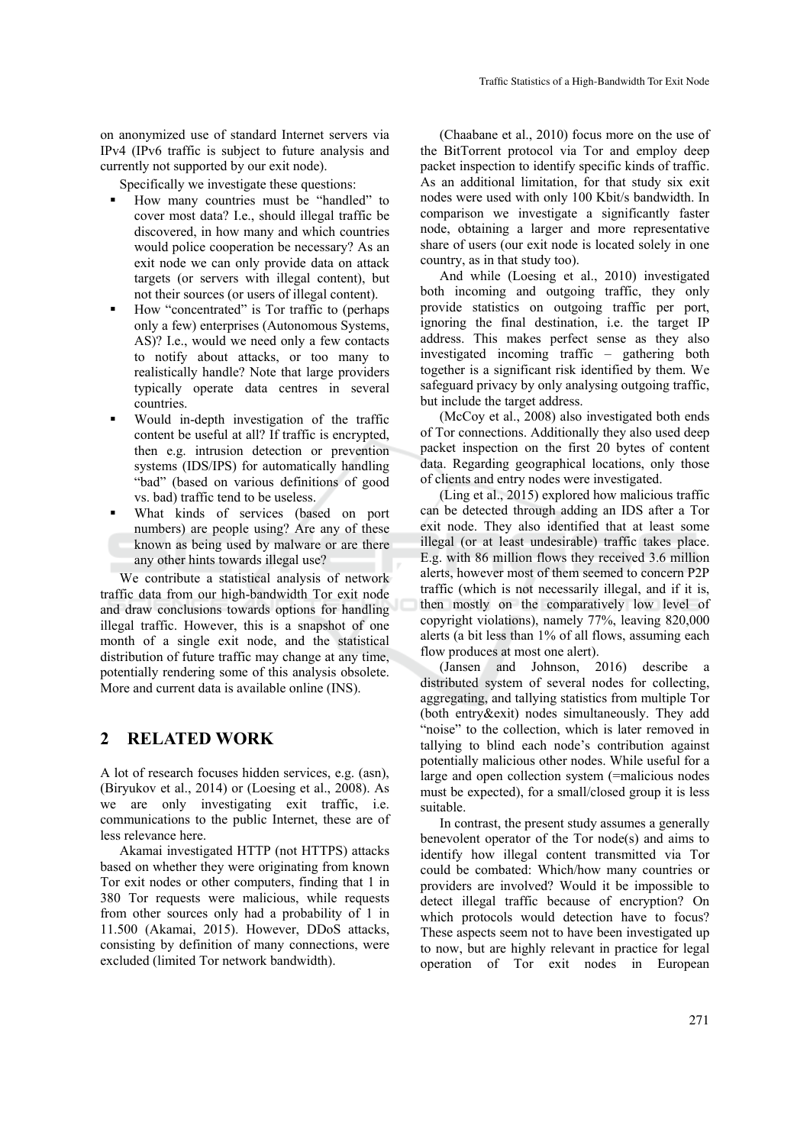on anonymized use of standard Internet servers via IPv4 (IPv6 traffic is subject to future analysis and currently not supported by our exit node).

Specifically we investigate these questions:

- How many countries must be "handled" to cover most data? I.e., should illegal traffic be discovered, in how many and which countries would police cooperation be necessary? As an exit node we can only provide data on attack targets (or servers with illegal content), but not their sources (or users of illegal content).
- How "concentrated" is Tor traffic to (perhaps only a few) enterprises (Autonomous Systems, AS)? I.e., would we need only a few contacts to notify about attacks, or too many to realistically handle? Note that large providers typically operate data centres in several countries.
- Would in-depth investigation of the traffic content be useful at all? If traffic is encrypted, then e.g. intrusion detection or prevention systems (IDS/IPS) for automatically handling "bad" (based on various definitions of good vs. bad) traffic tend to be useless.
- What kinds of services (based on port numbers) are people using? Are any of these known as being used by malware or are there any other hints towards illegal use?

We contribute a statistical analysis of network traffic data from our high-bandwidth Tor exit node and draw conclusions towards options for handling illegal traffic. However, this is a snapshot of one month of a single exit node, and the statistical distribution of future traffic may change at any time, potentially rendering some of this analysis obsolete. More and current data is available online (INS).

### **2 RELATED WORK**

A lot of research focuses hidden services, e.g. (asn), (Biryukov et al., 2014) or (Loesing et al., 2008). As we are only investigating exit traffic, i.e. communications to the public Internet, these are of less relevance here.

Akamai investigated HTTP (not HTTPS) attacks based on whether they were originating from known Tor exit nodes or other computers, finding that 1 in 380 Tor requests were malicious, while requests from other sources only had a probability of 1 in 11.500 (Akamai, 2015). However, DDoS attacks, consisting by definition of many connections, were excluded (limited Tor network bandwidth).

(Chaabane et al., 2010) focus more on the use of the BitTorrent protocol via Tor and employ deep packet inspection to identify specific kinds of traffic. As an additional limitation, for that study six exit nodes were used with only 100 Kbit/s bandwidth. In comparison we investigate a significantly faster node, obtaining a larger and more representative share of users (our exit node is located solely in one country, as in that study too).

And while (Loesing et al., 2010) investigated both incoming and outgoing traffic, they only provide statistics on outgoing traffic per port, ignoring the final destination, i.e. the target IP address. This makes perfect sense as they also investigated incoming traffic – gathering both together is a significant risk identified by them. We safeguard privacy by only analysing outgoing traffic, but include the target address.

(McCoy et al., 2008) also investigated both ends of Tor connections. Additionally they also used deep packet inspection on the first 20 bytes of content data. Regarding geographical locations, only those of clients and entry nodes were investigated.

(Ling et al., 2015) explored how malicious traffic can be detected through adding an IDS after a Tor exit node. They also identified that at least some illegal (or at least undesirable) traffic takes place. E.g. with 86 million flows they received 3.6 million alerts, however most of them seemed to concern P2P traffic (which is not necessarily illegal, and if it is, then mostly on the comparatively low level of copyright violations), namely 77%, leaving 820,000 alerts (a bit less than 1% of all flows, assuming each flow produces at most one alert).

(Jansen and Johnson, 2016) describe a distributed system of several nodes for collecting, aggregating, and tallying statistics from multiple Tor (both entry&exit) nodes simultaneously. They add "noise" to the collection, which is later removed in tallying to blind each node's contribution against potentially malicious other nodes. While useful for a large and open collection system (=malicious nodes must be expected), for a small/closed group it is less suitable.

In contrast, the present study assumes a generally benevolent operator of the Tor node(s) and aims to identify how illegal content transmitted via Tor could be combated: Which/how many countries or providers are involved? Would it be impossible to detect illegal traffic because of encryption? On which protocols would detection have to focus? These aspects seem not to have been investigated up to now, but are highly relevant in practice for legal operation of Tor exit nodes in European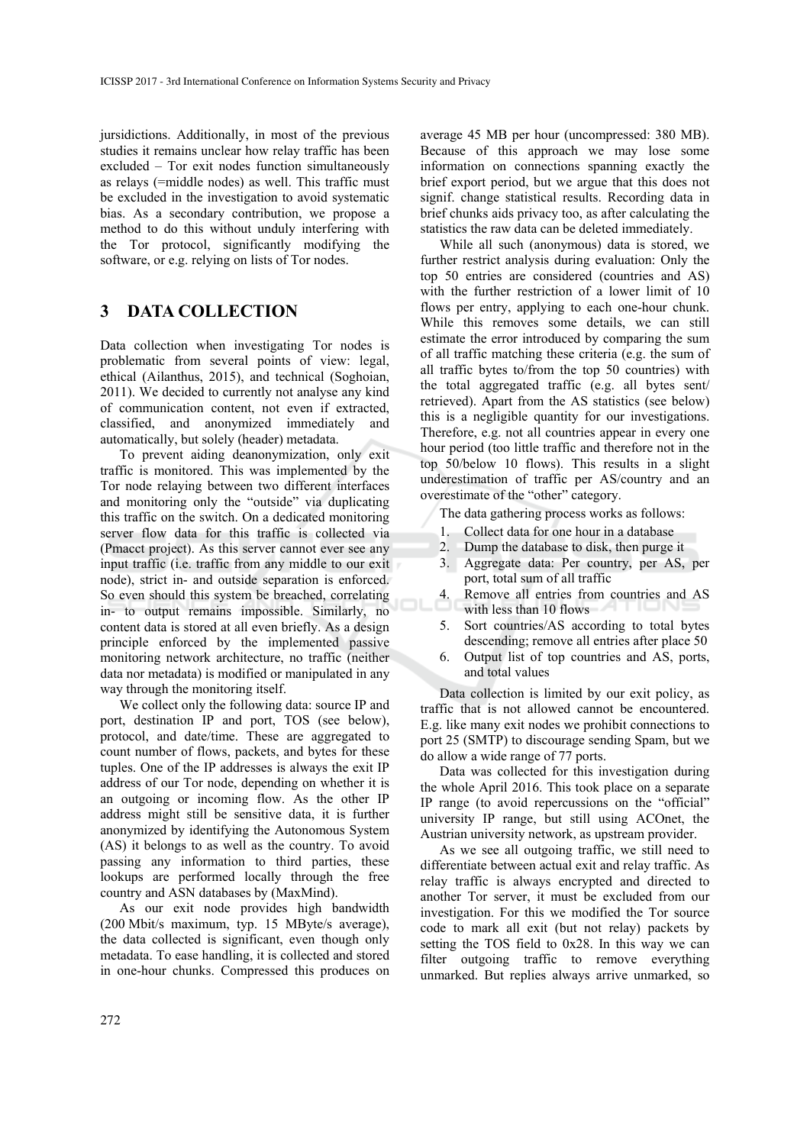jursidictions. Additionally, in most of the previous studies it remains unclear how relay traffic has been excluded – Tor exit nodes function simultaneously as relays (=middle nodes) as well. This traffic must be excluded in the investigation to avoid systematic bias. As a secondary contribution, we propose a method to do this without unduly interfering with the Tor protocol, significantly modifying the software, or e.g. relying on lists of Tor nodes.

# **3 DATA COLLECTION**

Data collection when investigating Tor nodes is problematic from several points of view: legal, ethical (Ailanthus, 2015), and technical (Soghoian, 2011). We decided to currently not analyse any kind of communication content, not even if extracted, classified, and anonymized immediately and automatically, but solely (header) metadata.

To prevent aiding deanonymization, only exit traffic is monitored. This was implemented by the Tor node relaying between two different interfaces and monitoring only the "outside" via duplicating this traffic on the switch. On a dedicated monitoring server flow data for this traffic is collected via (Pmacct project). As this server cannot ever see any input traffic (i.e. traffic from any middle to our exit node), strict in- and outside separation is enforced. So even should this system be breached, correlating in- to output remains impossible. Similarly, no content data is stored at all even briefly. As a design principle enforced by the implemented passive monitoring network architecture, no traffic (neither data nor metadata) is modified or manipulated in any way through the monitoring itself.

We collect only the following data: source IP and port, destination IP and port, TOS (see below), protocol, and date/time. These are aggregated to count number of flows, packets, and bytes for these tuples. One of the IP addresses is always the exit IP address of our Tor node, depending on whether it is an outgoing or incoming flow. As the other IP address might still be sensitive data, it is further anonymized by identifying the Autonomous System (AS) it belongs to as well as the country. To avoid passing any information to third parties, these lookups are performed locally through the free country and ASN databases by (MaxMind).

As our exit node provides high bandwidth (200 Mbit/s maximum, typ. 15 MByte/s average), the data collected is significant, even though only metadata. To ease handling, it is collected and stored in one-hour chunks. Compressed this produces on

average 45 MB per hour (uncompressed: 380 MB). Because of this approach we may lose some information on connections spanning exactly the brief export period, but we argue that this does not signif. change statistical results. Recording data in brief chunks aids privacy too, as after calculating the statistics the raw data can be deleted immediately.

While all such (anonymous) data is stored, we further restrict analysis during evaluation: Only the top 50 entries are considered (countries and AS) with the further restriction of a lower limit of 10 flows per entry, applying to each one-hour chunk. While this removes some details, we can still estimate the error introduced by comparing the sum of all traffic matching these criteria (e.g. the sum of all traffic bytes to/from the top 50 countries) with the total aggregated traffic (e.g. all bytes sent/ retrieved). Apart from the AS statistics (see below) this is a negligible quantity for our investigations. Therefore, e.g. not all countries appear in every one hour period (too little traffic and therefore not in the top 50/below 10 flows). This results in a slight underestimation of traffic per AS/country and an overestimate of the "other" category.

The data gathering process works as follows:

- 1. Collect data for one hour in a database
- 2. Dump the database to disk, then purge it
- 3. Aggregate data: Per country, per AS, per port, total sum of all traffic
- 4. Remove all entries from countries and AS with less than 10 flows
- 5. Sort countries/AS according to total bytes descending; remove all entries after place 50
- 6. Output list of top countries and AS, ports, and total values

Data collection is limited by our exit policy, as traffic that is not allowed cannot be encountered. E.g. like many exit nodes we prohibit connections to port 25 (SMTP) to discourage sending Spam, but we do allow a wide range of 77 ports.

Data was collected for this investigation during the whole April 2016. This took place on a separate IP range (to avoid repercussions on the "official" university IP range, but still using ACOnet, the Austrian university network, as upstream provider.

As we see all outgoing traffic, we still need to differentiate between actual exit and relay traffic. As relay traffic is always encrypted and directed to another Tor server, it must be excluded from our investigation. For this we modified the Tor source code to mark all exit (but not relay) packets by setting the TOS field to 0x28. In this way we can filter outgoing traffic to remove everything unmarked. But replies always arrive unmarked, so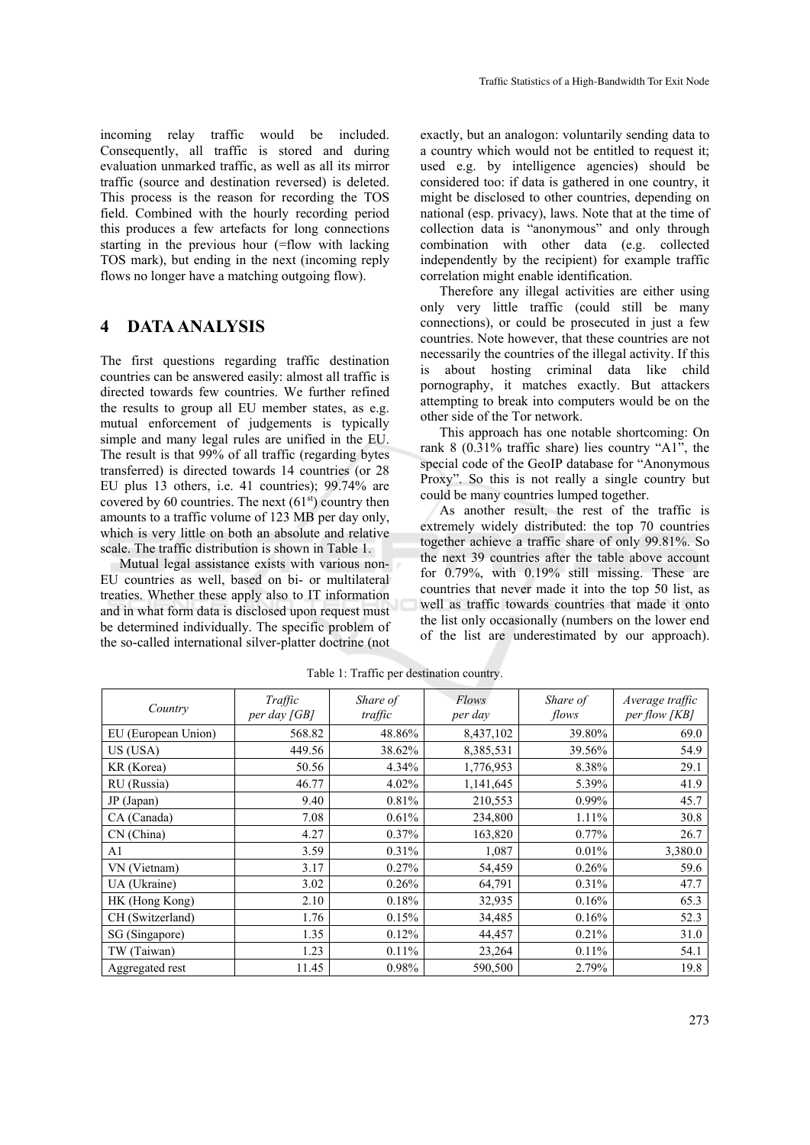incoming relay traffic would be included. Consequently, all traffic is stored and during evaluation unmarked traffic, as well as all its mirror traffic (source and destination reversed) is deleted. This process is the reason for recording the TOS field. Combined with the hourly recording period this produces a few artefacts for long connections starting in the previous hour (=flow with lacking TOS mark), but ending in the next (incoming reply flows no longer have a matching outgoing flow).

### **4 DATA ANALYSIS**

The first questions regarding traffic destination countries can be answered easily: almost all traffic is directed towards few countries. We further refined the results to group all EU member states, as e.g. mutual enforcement of judgements is typically simple and many legal rules are unified in the EU. The result is that 99% of all traffic (regarding bytes transferred) is directed towards 14 countries (or 28 EU plus 13 others, i.e. 41 countries); 99.74% are covered by 60 countries. The next  $(61<sup>st</sup>)$  country then amounts to a traffic volume of 123 MB per day only, which is very little on both an absolute and relative scale. The traffic distribution is shown in Table 1.

Mutual legal assistance exists with various non-EU countries as well, based on bi- or multilateral treaties. Whether these apply also to IT information and in what form data is disclosed upon request must be determined individually. The specific problem of the so-called international silver-platter doctrine (not

exactly, but an analogon: voluntarily sending data to a country which would not be entitled to request it; used e.g. by intelligence agencies) should be considered too: if data is gathered in one country, it might be disclosed to other countries, depending on national (esp. privacy), laws. Note that at the time of collection data is "anonymous" and only through combination with other data (e.g. collected independently by the recipient) for example traffic correlation might enable identification.

Therefore any illegal activities are either using only very little traffic (could still be many connections), or could be prosecuted in just a few countries. Note however, that these countries are not necessarily the countries of the illegal activity. If this about hosting criminal data like child pornography, it matches exactly. But attackers attempting to break into computers would be on the other side of the Tor network.

This approach has one notable shortcoming: On rank 8 (0.31% traffic share) lies country "A1", the special code of the GeoIP database for "Anonymous Proxy". So this is not really a single country but could be many countries lumped together.

As another result, the rest of the traffic is extremely widely distributed: the top 70 countries together achieve a traffic share of only 99.81%. So the next 39 countries after the table above account for 0.79%, with 0.19% still missing. These are countries that never made it into the top 50 list, as well as traffic towards countries that made it onto the list only occasionally (numbers on the lower end of the list are underestimated by our approach).

| Country             | Traffic<br>per day [GB] | Share of<br>traffic | Flows<br>per day | Share of<br>flows | Average traffic<br>per flow [KB] |
|---------------------|-------------------------|---------------------|------------------|-------------------|----------------------------------|
| EU (European Union) | 568.82                  | 48.86%              | 8,437,102        | 39.80%            | 69.0                             |
| US (USA)            | 449.56                  | 38.62%              | 8,385,531        | 39.56%            | 54.9                             |
| KR (Korea)          | 50.56                   | 4.34%               | 1,776,953        | 8.38%             | 29.1                             |
| RU (Russia)         | 46.77                   | 4.02%               | 1,141,645        | 5.39%             | 41.9                             |
| JP(Japan)           | 9.40                    | 0.81%               | 210,553          | $0.99\%$          | 45.7                             |
| CA (Canada)         | 7.08                    | 0.61%               | 234,800          | $1.11\%$          | 30.8                             |
| CN (China)          | 4.27                    | 0.37%               | 163,820          | $0.77\%$          | 26.7                             |
| A <sub>1</sub>      | 3.59                    | 0.31%               | 1,087            | 0.01%             | 3,380.0                          |
| VN (Vietnam)        | 3.17                    | 0.27%               | 54,459           | $0.26\%$          | 59.6                             |
| UA (Ukraine)        | 3.02                    | 0.26%               | 64,791           | 0.31%             | 47.7                             |
| HK (Hong Kong)      | 2.10                    | 0.18%               | 32,935           | 0.16%             | 65.3                             |
| CH (Switzerland)    | 1.76                    | 0.15%               | 34,485           | 0.16%             | 52.3                             |
| SG (Singapore)      | 1.35                    | 0.12%               | 44,457           | 0.21%             | 31.0                             |
| TW (Taiwan)         | 1.23                    | 0.11%               | 23,264           | $0.11\%$          | 54.1                             |
| Aggregated rest     | 11.45                   | 0.98%               | 590,500          | 2.79%             | 19.8                             |

Table 1: Traffic per destination country.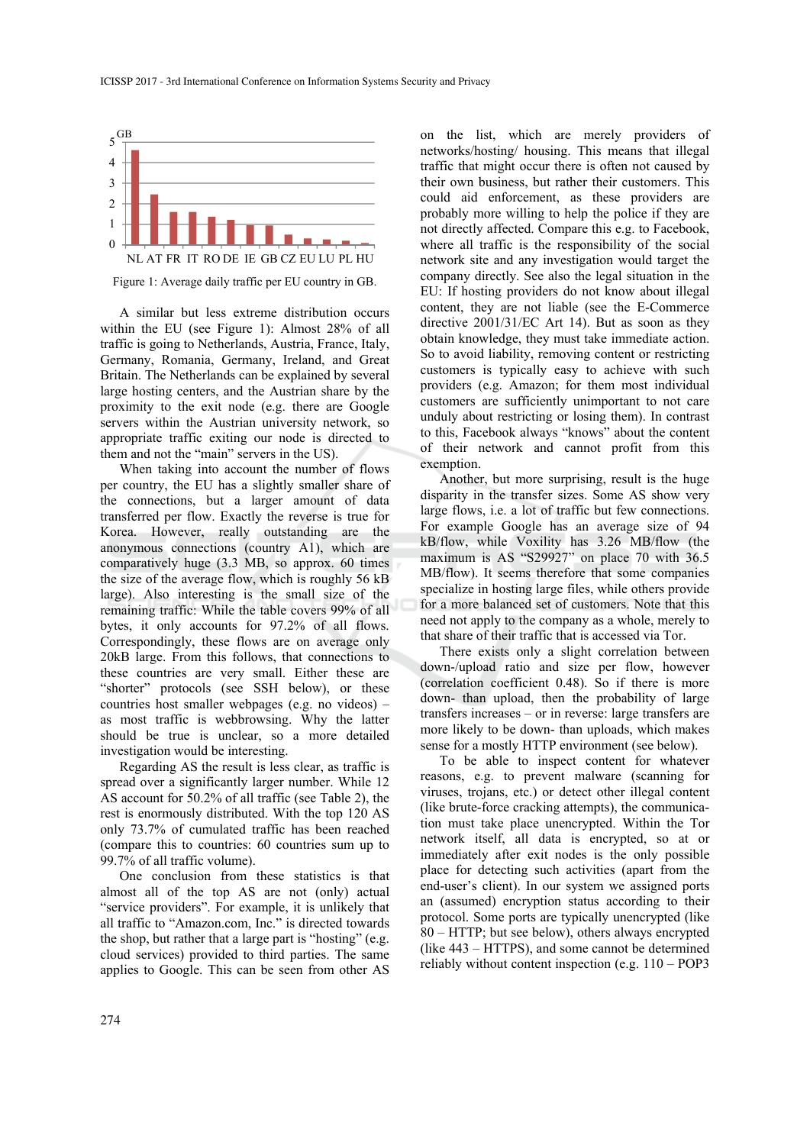

Figure 1: Average daily traffic per EU country in GB.

A similar but less extreme distribution occurs within the EU (see Figure 1): Almost 28% of all traffic is going to Netherlands, Austria, France, Italy, Germany, Romania, Germany, Ireland, and Great Britain. The Netherlands can be explained by several large hosting centers, and the Austrian share by the proximity to the exit node (e.g. there are Google servers within the Austrian university network, so appropriate traffic exiting our node is directed to them and not the "main" servers in the US).

When taking into account the number of flows per country, the EU has a slightly smaller share of the connections, but a larger amount of data transferred per flow. Exactly the reverse is true for Korea. However, really outstanding are the anonymous connections (country A1), which are comparatively huge (3.3 MB, so approx. 60 times the size of the average flow, which is roughly 56 kB large). Also interesting is the small size of the remaining traffic: While the table covers 99% of all bytes, it only accounts for 97.2% of all flows. Correspondingly, these flows are on average only 20kB large. From this follows, that connections to these countries are very small. Either these are "shorter" protocols (see SSH below), or these countries host smaller webpages (e.g. no videos) – as most traffic is webbrowsing. Why the latter should be true is unclear, so a more detailed investigation would be interesting.

Regarding AS the result is less clear, as traffic is spread over a significantly larger number. While 12 AS account for 50.2% of all traffic (see Table 2), the rest is enormously distributed. With the top 120 AS only 73.7% of cumulated traffic has been reached (compare this to countries: 60 countries sum up to 99.7% of all traffic volume).

One conclusion from these statistics is that almost all of the top AS are not (only) actual "service providers". For example, it is unlikely that all traffic to "Amazon.com, Inc." is directed towards the shop, but rather that a large part is "hosting" (e.g. cloud services) provided to third parties. The same applies to Google. This can be seen from other AS

on the list, which are merely providers of networks/hosting/ housing. This means that illegal traffic that might occur there is often not caused by their own business, but rather their customers. This could aid enforcement, as these providers are probably more willing to help the police if they are not directly affected. Compare this e.g. to Facebook, where all traffic is the responsibility of the social network site and any investigation would target the company directly. See also the legal situation in the EU: If hosting providers do not know about illegal content, they are not liable (see the E-Commerce directive 2001/31/EC Art 14). But as soon as they obtain knowledge, they must take immediate action. So to avoid liability, removing content or restricting customers is typically easy to achieve with such providers (e.g. Amazon; for them most individual customers are sufficiently unimportant to not care unduly about restricting or losing them). In contrast to this, Facebook always "knows" about the content of their network and cannot profit from this exemption.

Another, but more surprising, result is the huge disparity in the transfer sizes. Some AS show very large flows, i.e. a lot of traffic but few connections. For example Google has an average size of 94 kB/flow, while Voxility has 3.26 MB/flow (the maximum is AS "S29927" on place 70 with 36.5 MB/flow). It seems therefore that some companies specialize in hosting large files, while others provide for a more balanced set of customers. Note that this need not apply to the company as a whole, merely to that share of their traffic that is accessed via Tor.

There exists only a slight correlation between down-/upload ratio and size per flow, however (correlation coefficient 0.48). So if there is more down- than upload, then the probability of large transfers increases – or in reverse: large transfers are more likely to be down- than uploads, which makes sense for a mostly HTTP environment (see below).

To be able to inspect content for whatever reasons, e.g. to prevent malware (scanning for viruses, trojans, etc.) or detect other illegal content (like brute-force cracking attempts), the communication must take place unencrypted. Within the Tor network itself, all data is encrypted, so at or immediately after exit nodes is the only possible place for detecting such activities (apart from the end-user's client). In our system we assigned ports an (assumed) encryption status according to their protocol. Some ports are typically unencrypted (like 80 – HTTP; but see below), others always encrypted (like 443 – HTTPS), and some cannot be determined reliably without content inspection (e.g. 110 – POP3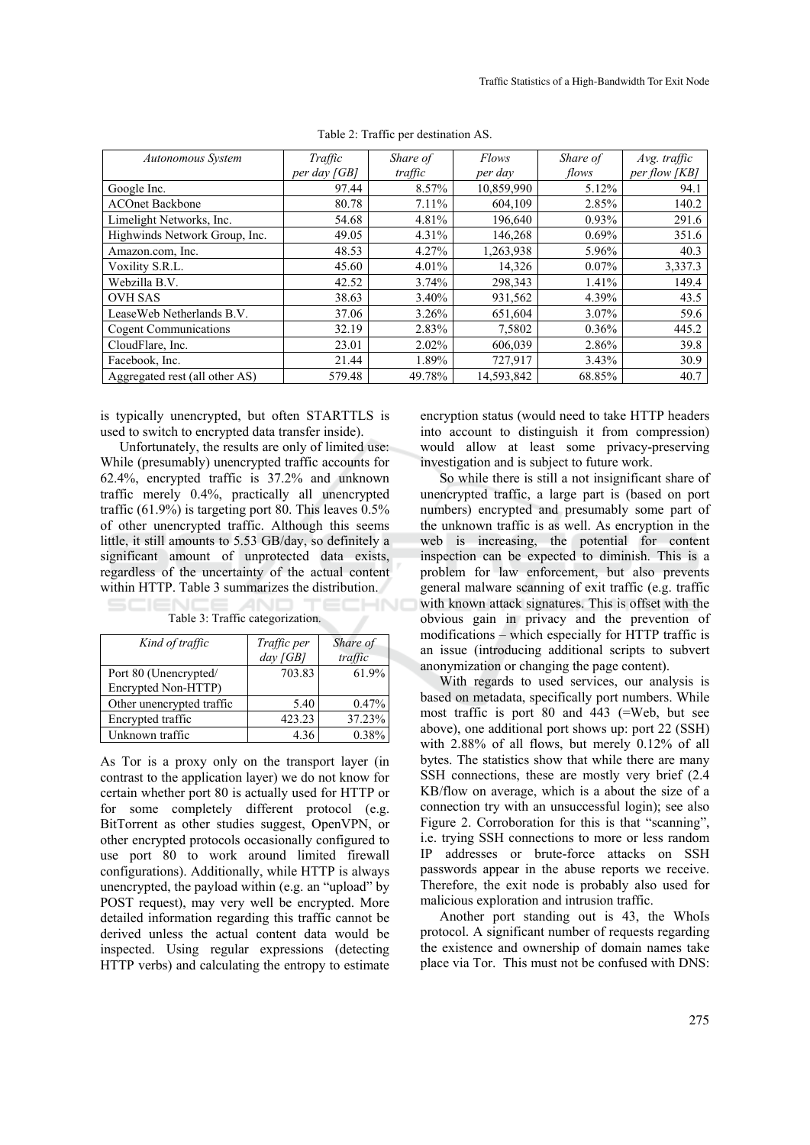| Autonomous System              | Traffic        | Share of | Flows      | Share of | Avg. traffic  |
|--------------------------------|----------------|----------|------------|----------|---------------|
|                                | per day $[GB]$ | traffic  | per day    | flows    | per flow [KB] |
| Google Inc.                    | 97.44          | 8.57%    | 10,859,990 | 5.12%    | 94.1          |
| <b>ACOnet Backbone</b>         | 80.78          | $7.11\%$ | 604,109    | 2.85%    | 140.2         |
| Limelight Networks, Inc.       | 54.68          | 4.81%    | 196,640    | $0.93\%$ | 291.6         |
| Highwinds Network Group, Inc.  | 49.05          | 4.31%    | 146,268    | 0.69%    | 351.6         |
| Amazon.com, Inc.               | 48.53          | 4.27%    | 1,263,938  | 5.96%    | 40.3          |
| Voxility S.R.L.                | 45.60          | $4.01\%$ | 14,326     | $0.07\%$ | 3,337.3       |
| Webzilla B.V.                  | 42.52          | 3.74%    | 298.343    | 1.41%    | 149.4         |
| <b>OVH SAS</b>                 | 38.63          | $3.40\%$ | 931,562    | 4.39%    | 43.5          |
| LeaseWeb Netherlands B.V.      | 37.06          | 3.26%    | 651,604    | $3.07\%$ | 59.6          |
| <b>Cogent Communications</b>   | 32.19          | 2.83%    | 7,5802     | $0.36\%$ | 445.2         |
| CloudFlare, Inc.               | 23.01          | $2.02\%$ | 606,039    | 2.86%    | 39.8          |
| Facebook, Inc.                 | 21.44          | 1.89%    | 727,917    | 3.43%    | 30.9          |
| Aggregated rest (all other AS) | 579.48         | 49.78%   | 14,593,842 | 68.85%   | 40.7          |

ECHNO

Table 2: Traffic per destination AS.

is typically unencrypted, but often STARTTLS is used to switch to encrypted data transfer inside).

Unfortunately, the results are only of limited use: While (presumably) unencrypted traffic accounts for 62.4%, encrypted traffic is 37.2% and unknown traffic merely 0.4%, practically all unencrypted traffic (61.9%) is targeting port 80. This leaves 0.5% of other unencrypted traffic. Although this seems little, it still amounts to 5.53 GB/day, so definitely a significant amount of unprotected data exists, regardless of the uncertainty of the actual content within HTTP. Table 3 summarizes the distribution.

| Kind of traffic           | Traffic per | Share of |
|---------------------------|-------------|----------|
|                           | $day$ [GB]  | traffic  |
| Port 80 (Unencrypted/     | 703.83      | 61.9%    |
| Encrypted Non-HTTP)       |             |          |
| Other unencrypted traffic | 5.40        | 0.47%    |
| Encrypted traffic         | 423.23      | 37.23%   |
| Unknown traffic           | 4.36        | 0.38%    |

Table 3: Traffic categorization.

As Tor is a proxy only on the transport layer (in contrast to the application layer) we do not know for certain whether port 80 is actually used for HTTP or for some completely different protocol (e.g. BitTorrent as other studies suggest, OpenVPN, or other encrypted protocols occasionally configured to use port 80 to work around limited firewall configurations). Additionally, while HTTP is always unencrypted, the payload within (e.g. an "upload" by POST request), may very well be encrypted. More detailed information regarding this traffic cannot be derived unless the actual content data would be inspected. Using regular expressions (detecting HTTP verbs) and calculating the entropy to estimate encryption status (would need to take HTTP headers into account to distinguish it from compression) would allow at least some privacy-preserving investigation and is subject to future work.

So while there is still a not insignificant share of unencrypted traffic, a large part is (based on port numbers) encrypted and presumably some part of the unknown traffic is as well. As encryption in the web is increasing, the potential for content inspection can be expected to diminish. This is a problem for law enforcement, but also prevents general malware scanning of exit traffic (e.g. traffic with known attack signatures. This is offset with the obvious gain in privacy and the prevention of modifications – which especially for HTTP traffic is an issue (introducing additional scripts to subvert anonymization or changing the page content).

With regards to used services, our analysis is based on metadata, specifically port numbers. While most traffic is port 80 and 443 (=Web, but see above), one additional port shows up: port 22 (SSH) with 2.88% of all flows, but merely 0.12% of all bytes. The statistics show that while there are many SSH connections, these are mostly very brief (2.4 KB/flow on average, which is a about the size of a connection try with an unsuccessful login); see also Figure 2. Corroboration for this is that "scanning", i.e. trying SSH connections to more or less random IP addresses or brute-force attacks on SSH passwords appear in the abuse reports we receive. Therefore, the exit node is probably also used for malicious exploration and intrusion traffic.

Another port standing out is 43, the WhoIs protocol. A significant number of requests regarding the existence and ownership of domain names take place via Tor. This must not be confused with DNS: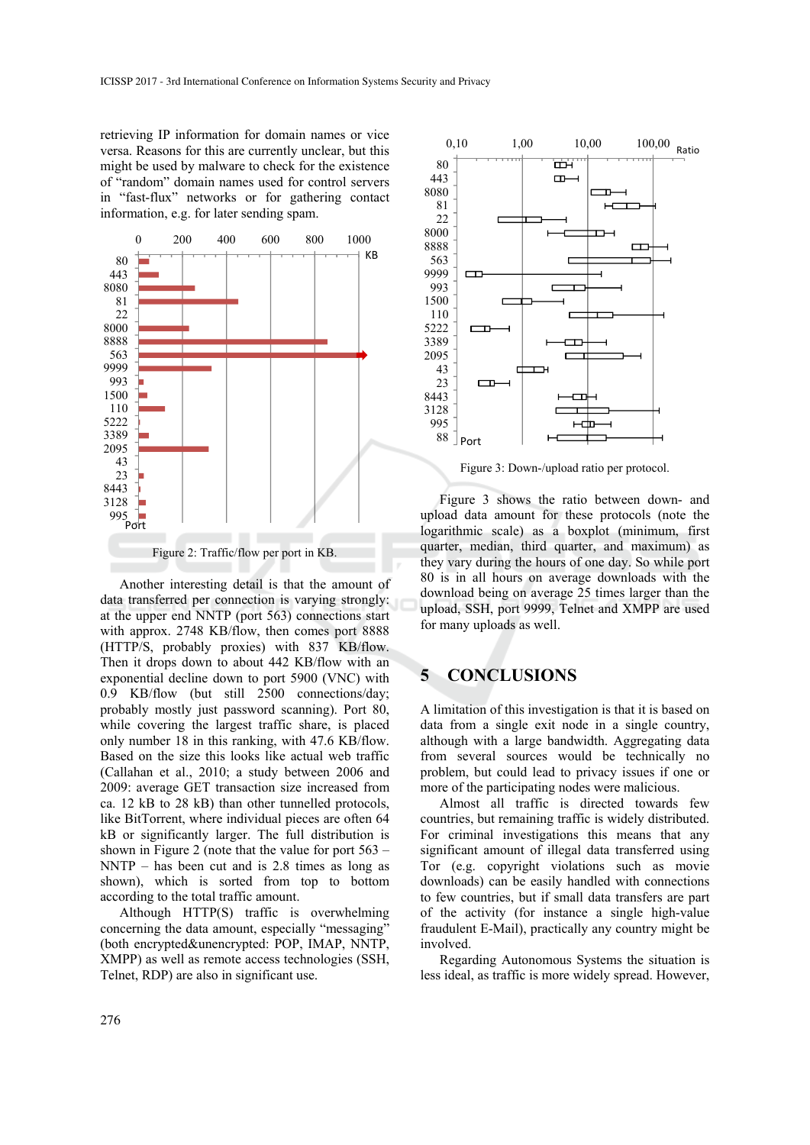retrieving IP information for domain names or vice versa. Reasons for this are currently unclear, but this might be used by malware to check for the existence of "random" domain names used for control servers in "fast-flux" networks or for gathering contact information, e.g. for later sending spam.



Figure 2: Traffic/flow per port in KB.

Another interesting detail is that the amount of data transferred per connection is varying strongly: at the upper end NNTP (port 563) connections start with approx. 2748 KB/flow, then comes port 8888 (HTTP/S, probably proxies) with 837 KB/flow. Then it drops down to about 442 KB/flow with an exponential decline down to port 5900 (VNC) with 0.9 KB/flow (but still 2500 connections/day; probably mostly just password scanning). Port 80, while covering the largest traffic share, is placed only number 18 in this ranking, with 47.6 KB/flow. Based on the size this looks like actual web traffic (Callahan et al., 2010; a study between 2006 and 2009: average GET transaction size increased from ca. 12 kB to 28 kB) than other tunnelled protocols, like BitTorrent, where individual pieces are often 64 kB or significantly larger. The full distribution is shown in Figure 2 (note that the value for port 563 – NNTP – has been cut and is 2.8 times as long as shown), which is sorted from top to bottom according to the total traffic amount.

Although HTTP(S) traffic is overwhelming concerning the data amount, especially "messaging" (both encrypted&unencrypted: POP, IMAP, NNTP, XMPP) as well as remote access technologies (SSH, Telnet, RDP) are also in significant use.



Figure 3: Down-/upload ratio per protocol.

Figure 3 shows the ratio between down- and upload data amount for these protocols (note the logarithmic scale) as a boxplot (minimum, first quarter, median, third quarter, and maximum) as they vary during the hours of one day. So while port 80 is in all hours on average downloads with the download being on average 25 times larger than the upload, SSH, port 9999, Telnet and XMPP are used for many uploads as well.

### **5 CONCLUSIONS**

A limitation of this investigation is that it is based on data from a single exit node in a single country, although with a large bandwidth. Aggregating data from several sources would be technically no problem, but could lead to privacy issues if one or more of the participating nodes were malicious.

Almost all traffic is directed towards few countries, but remaining traffic is widely distributed. For criminal investigations this means that any significant amount of illegal data transferred using Tor (e.g. copyright violations such as movie downloads) can be easily handled with connections to few countries, but if small data transfers are part of the activity (for instance a single high-value fraudulent E-Mail), practically any country might be involved.

Regarding Autonomous Systems the situation is less ideal, as traffic is more widely spread. However,